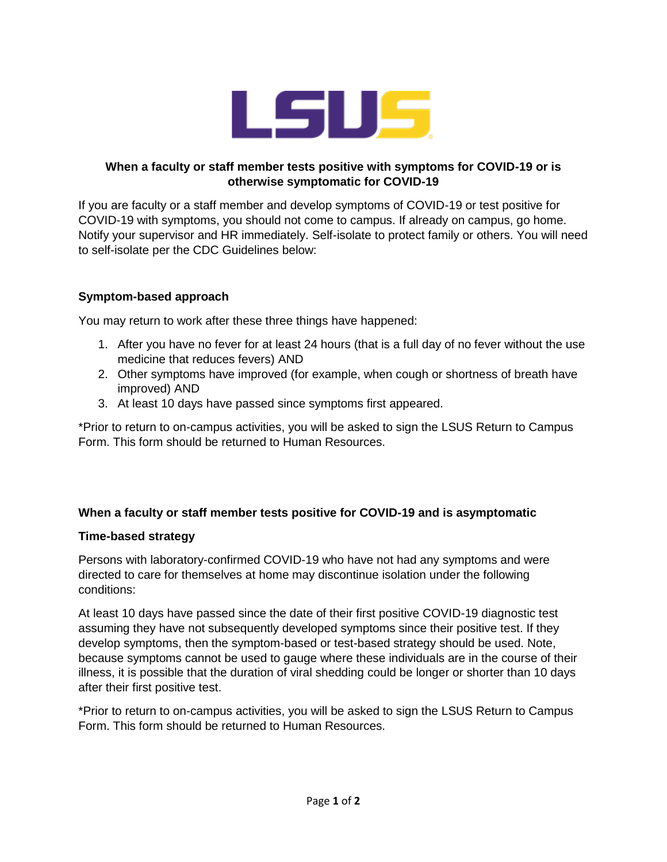

# **When a faculty or staff member tests positive with symptoms for COVID-19 or is otherwise symptomatic for COVID-19**

If you are faculty or a staff member and develop symptoms of COVID-19 or test positive for COVID-19 with symptoms, you should not come to campus. If already on campus, go home. Notify your supervisor and HR immediately. Self-isolate to protect family or others. You will need to self-isolate per the CDC Guidelines below:

# **Symptom-based approach**

You may return to work after these three things have happened:

- 1. After you have no fever for at least 24 hours (that is a full day of no fever without the use medicine that reduces fevers) AND
- 2. Other symptoms have improved (for example, when cough or shortness of breath have improved) AND
- 3. At least 10 days have passed since symptoms first appeared.

\*Prior to return to on-campus activities, you will be asked to sign the LSUS Return to Campus Form. This form should be returned to Human Resources.

# **When a faculty or staff member tests positive for COVID-19 and is asymptomatic**

### **Time-based strategy**

Persons with laboratory-confirmed COVID-19 who have not had any symptoms and were directed to care for themselves at home may discontinue isolation under the following conditions:

At least 10 days have passed since the date of their first positive COVID-19 diagnostic test assuming they have not subsequently developed symptoms since their positive test. If they develop symptoms, then the symptom-based or test-based strategy should be used. Note, because symptoms cannot be used to gauge where these individuals are in the course of their illness, it is possible that the duration of viral shedding could be longer or shorter than 10 days after their first positive test.

\*Prior to return to on-campus activities, you will be asked to sign the LSUS Return to Campus Form. This form should be returned to Human Resources.